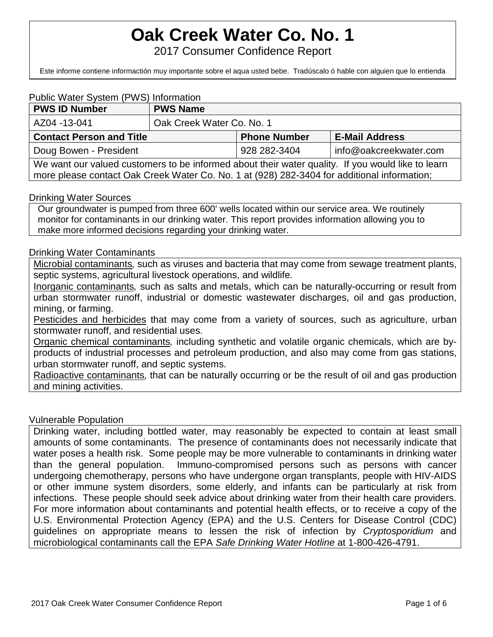# **Oak Creek Water Co. No. 1**

2017 Consumer Confidence Report

Este informe contiene informactión muy importante sobre el aqua usted bebe. Tradúscalo ó hable con alguien que lo entienda

#### Public Water System (PWS) Information

| <b>PWS ID Number</b>                                                                              | <b>PWS Name</b>           |                     |                        |  |  |
|---------------------------------------------------------------------------------------------------|---------------------------|---------------------|------------------------|--|--|
| AZ04 -13-041                                                                                      | Oak Creek Water Co. No. 1 |                     |                        |  |  |
| <b>Contact Person and Title</b>                                                                   |                           | <b>Phone Number</b> | <b>E-Mail Address</b>  |  |  |
| Doug Bowen - President                                                                            |                           | 928 282-3404        | info@oakcreekwater.com |  |  |
| We want our valued customers to be informed about their water quality. If you would like to learn |                           |                     |                        |  |  |
| more please contact Oak Creek Water Co. No. 1 at (928) 282-3404 for additional information;       |                           |                     |                        |  |  |

#### Drinking Water Sources

Our groundwater is pumped from three 600' wells located within our service area. We routinely monitor for contaminants in our drinking water. This report provides information allowing you to make more informed decisions regarding your drinking water.

#### Drinking Water Contaminants

Microbial contaminants*,* such as viruses and bacteria that may come from sewage treatment plants, septic systems, agricultural livestock operations, and wildlife*.*

Inorganic contaminants*,* such as salts and metals, which can be naturally-occurring or result from urban stormwater runoff, industrial or domestic wastewater discharges, oil and gas production, mining, or farming.

Pesticides and herbicides that may come from a variety of sources, such as agriculture, urban stormwater runoff, and residential uses.

Organic chemical contaminants*,* including synthetic and volatile organic chemicals, which are byproducts of industrial processes and petroleum production, and also may come from gas stations, urban stormwater runoff, and septic systems.

Radioactive contaminants*,* that can be naturally occurring or be the result of oil and gas production and mining activities.

#### Vulnerable Population

Drinking water, including bottled water, may reasonably be expected to contain at least small amounts of some contaminants. The presence of contaminants does not necessarily indicate that water poses a health risk. Some people may be more vulnerable to contaminants in drinking water than the general population. Immuno-compromised persons such as persons with cancer undergoing chemotherapy, persons who have undergone organ transplants, people with HIV-AIDS or other immune system disorders, some elderly, and infants can be particularly at risk from infections. These people should seek advice about drinking water from their health care providers. For more information about contaminants and potential health effects, or to receive a copy of the U.S. Environmental Protection Agency (EPA) and the U.S. Centers for Disease Control (CDC) guidelines on appropriate means to lessen the risk of infection by *Cryptosporidium* and microbiological contaminants call the EPA *Safe Drinking Water Hotline* at 1-800-426-4791.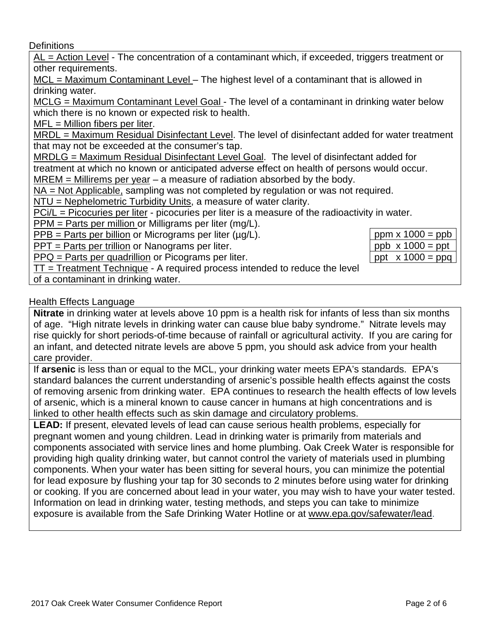**Definitions** 

AL = Action Level - The concentration of a contaminant which, if exceeded, triggers treatment or other requirements.

MCL = Maximum Contaminant Level – The highest level of a contaminant that is allowed in drinking water.

MCLG = Maximum Contaminant Level Goal - The level of a contaminant in drinking water below which there is no known or expected risk to health.

MFL = Million fibers per liter.

MRDL = Maximum Residual Disinfectant Level. The level of disinfectant added for water treatment that may not be exceeded at the consumer's tap.

MRDLG = Maximum Residual Disinfectant Level Goal. The level of disinfectant added for

treatment at which no known or anticipated adverse effect on health of persons would occur.

 $MREM =$  Millirems per year – a measure of radiation absorbed by the body.

NA = Not Applicable, sampling was not completed by regulation or was not required.

NTU = Nephelometric Turbidity Units, a measure of water clarity.

PCi/L = Picocuries per liter - picocuries per liter is a measure of the radioactivity in water.

PPM = Parts per million or Milligrams per liter (mg/L).

 $PPB =$  Parts per billion or Micrograms per liter ( $\mu q/L$ ).

PPT = Parts per trillion or Nanograms per liter.

PPQ = Parts per quadrillion or Picograms per liter.

| $ppm \times 1000 = ppb$                                          |
|------------------------------------------------------------------|
| $\boxed{\text{ppb} \times 1000 = \text{ppt}}$                    |
| $\begin{bmatrix} \text{ppt} & x 1000 = \text{ppq} \end{bmatrix}$ |

 $TT = Treatment Technique - A required process intended to reduce the level$ 

of a contaminant in drinking water.

### Health Effects Language

**Nitrate** in drinking water at levels above 10 ppm is a health risk for infants of less than six months of age. "High nitrate levels in drinking water can cause blue baby syndrome." Nitrate levels may rise quickly for short periods-of-time because of rainfall or agricultural activity. If you are caring for an infant, and detected nitrate levels are above 5 ppm, you should ask advice from your health care provider.

If **arsenic** is less than or equal to the MCL, your drinking water meets EPA's standards. EPA's standard balances the current understanding of arsenic's possible health effects against the costs of removing arsenic from drinking water. EPA continues to research the health effects of low levels of arsenic, which is a mineral known to cause cancer in humans at high concentrations and is linked to other health effects such as skin damage and circulatory problems.

**LEAD:** If present, elevated levels of lead can cause serious health problems, especially for pregnant women and young children. Lead in drinking water is primarily from materials and components associated with service lines and home plumbing. Oak Creek Water is responsible for providing high quality drinking water, but cannot control the variety of materials used in plumbing components. When your water has been sitting for several hours, you can minimize the potential for lead exposure by flushing your tap for 30 seconds to 2 minutes before using water for drinking or cooking. If you are concerned about lead in your water, you may wish to have your water tested. Information on lead in drinking water, testing methods, and steps you can take to minimize exposure is available from the Safe Drinking Water Hotline or at [www.epa.gov/safewater/lead.](http://www.epa.gov/safewater/lead)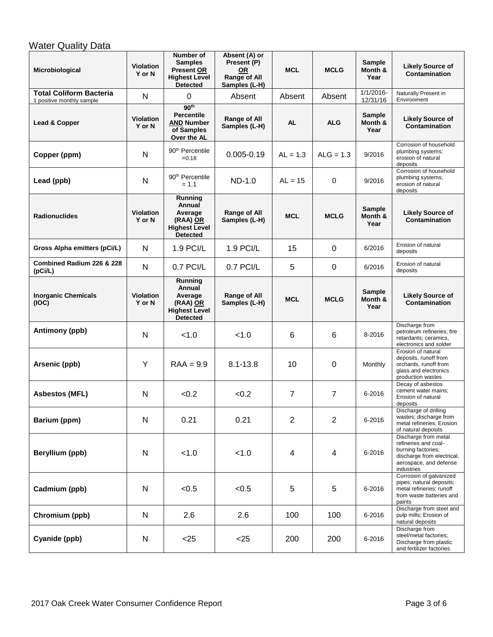## **Water Quality Data**

| Microbiological                                             | <b>Violation</b><br>Y or N | Number of<br><b>Samples</b><br><b>Present OR</b><br><b>Highest Level</b><br><b>Detected</b> | Absent (A) or<br>Present (P)<br>0R<br><b>Range of All</b><br>Samples (L-H) | <b>MCL</b>              | <b>MCLG</b>             | <b>Sample</b><br>Month &<br>Year | <b>Likely Source of</b><br><b>Contamination</b>                                                                                          |
|-------------------------------------------------------------|----------------------------|---------------------------------------------------------------------------------------------|----------------------------------------------------------------------------|-------------------------|-------------------------|----------------------------------|------------------------------------------------------------------------------------------------------------------------------------------|
| <b>Total Coliform Bacteria</b><br>1 positive monthly sample | N                          | 0                                                                                           | Absent                                                                     | Absent                  | Absent                  | $1/1/2016$ -<br>12/31/16         | Naturally Present in<br>Environment                                                                                                      |
| Lead & Copper                                               | <b>Violation</b><br>Y or N | 90 <sup>th</sup><br><b>Percentile</b><br><b>AND Number</b><br>of Samples<br>Over the AL     | Range of All<br>Samples (L-H)                                              | <b>AL</b>               | <b>ALG</b>              | <b>Sample</b><br>Month &<br>Year | <b>Likely Source of</b><br><b>Contamination</b>                                                                                          |
| Copper (ppm)                                                | N                          | 90 <sup>th</sup> Percentile<br>$=0.18$                                                      | $0.005 - 0.19$                                                             | $AL = 1.3$              | $ALG = 1.3$             | 9/2016                           | Corrosion of household<br>plumbing systems;<br>erosion of natural<br>deposits                                                            |
| Lead (ppb)                                                  | N                          | 90 <sup>th</sup> Percentile<br>$= 1.1$                                                      | $ND-1.0$                                                                   | $AL = 15$               | 0                       | 9/2016                           | Corrosion of household<br>plumbing systems;<br>erosion of natural<br>deposits                                                            |
| <b>Radionuclides</b>                                        | <b>Violation</b><br>Y or N | Running<br>Annual<br>Average<br>(RAA) OR<br><b>Highest Level</b><br><b>Detected</b>         | Range of All<br>Samples (L-H)                                              | <b>MCL</b>              | <b>MCLG</b>             | <b>Sample</b><br>Month &<br>Year | <b>Likely Source of</b><br><b>Contamination</b>                                                                                          |
| Gross Alpha emitters (pCi/L)                                | N                          | 1.9 PCI/L                                                                                   | 1.9 PCI/L                                                                  | 15                      | 0                       | 6/2016                           | Erosion of natural<br>deposits                                                                                                           |
| Combined Radium 226 & 228<br>(pCi/L)                        | N                          | 0.7 PCI/L                                                                                   | $0.7$ PCI/L                                                                | 5                       | 0                       | 6/2016                           | Erosion of natural<br>deposits                                                                                                           |
| <b>Inorganic Chemicals</b><br>(IOC)                         | <b>Violation</b><br>Y or N | Running<br>Annual<br>Average<br>(RAA) OR<br><b>Highest Level</b><br><b>Detected</b>         | Range of All<br>Samples (L-H)                                              | <b>MCL</b>              | <b>MCLG</b>             | <b>Sample</b><br>Month &<br>Year | <b>Likely Source of</b><br>Contamination                                                                                                 |
| Antimony (ppb)                                              | N                          | < 1.0                                                                                       | < 1.0                                                                      | 6                       | 6                       | 8-2016                           | Discharge from<br>petroleum refineries; fire<br>retardants; ceramics,<br>electronics and solder                                          |
| Arsenic (ppb)                                               | Y                          | $RAA = 9.9$                                                                                 | $8.1 - 13.8$                                                               | 10                      | 0                       | Monthly                          | Erosion of natural<br>deposits, runoff from<br>orchards, runoff from<br>glass and electronics<br>production wastes                       |
| <b>Asbestos (MFL)</b>                                       | N                          | < 0.2                                                                                       | < 0.2                                                                      | $\overline{7}$          | $\overline{7}$          | 6-2016                           | Decay of asbestos<br>cement water mains;<br>Erosion of natural<br>deposits                                                               |
| Barium (ppm)                                                | N                          | 0.21                                                                                        | 0.21                                                                       | $\overline{2}$          | $\overline{2}$          | 6-2016                           | Discharge of drilling<br>wastes; discharge from<br>metal refineries: Erosion<br>of natural deposits                                      |
| Beryllium (ppb)                                             | $\mathsf{N}$               | < 1.0                                                                                       | < 1.0                                                                      | $\overline{\mathbf{4}}$ | $\overline{\mathbf{4}}$ | 6-2016                           | Discharge from metal<br>refineries and coal-<br>burning factories;<br>discharge from electrical,<br>aerospace, and defense<br>industries |
| Cadmium (ppb)                                               | N                          | < 0.5                                                                                       | < 0.5                                                                      | 5                       | 5                       | 6-2016                           | Corrosion of galvanized<br>pipes; natural deposits;<br>metal refineries; runoff<br>from waste batteries and<br>paints                    |
| Chromium (ppb)                                              | N                          | 2.6                                                                                         | 2.6                                                                        | 100                     | 100                     | 6-2016                           | Discharge from steel and<br>pulp mills; Erosion of<br>natural deposits                                                                   |
| Cyanide (ppb)                                               | N                          | < 25                                                                                        | $<$ 25                                                                     | 200                     | 200                     | 6-2016                           | Discharge from<br>steel/metal factories;<br>Discharge from plastic<br>and fertilizer factories                                           |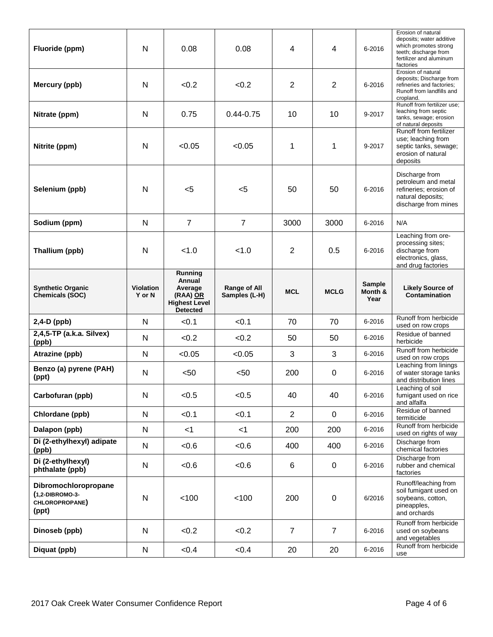| Fluoride (ppm)                                                     | N                | 0.08                                                | 0.08                | 4              | $\overline{4}$   | 6-2016          | Erosion of natural<br>deposits; water additive<br>which promotes strong<br>teeth; discharge from<br>fertilizer and aluminum<br>factories |
|--------------------------------------------------------------------|------------------|-----------------------------------------------------|---------------------|----------------|------------------|-----------------|------------------------------------------------------------------------------------------------------------------------------------------|
| Mercury (ppb)                                                      | $\mathsf{N}$     | < 0.2                                               | < 0.2               | $\overline{2}$ | $\overline{2}$   | 6-2016          | Erosion of natural<br>deposits; Discharge from<br>refineries and factories;<br>Runoff from landfills and<br>cropland.                    |
| Nitrate (ppm)                                                      | $\mathsf{N}$     | 0.75                                                | $0.44 - 0.75$       | 10             | 10               | 9-2017          | Runoff from fertilizer use;<br>leaching from septic<br>tanks, sewage; erosion<br>of natural deposits                                     |
| Nitrite (ppm)                                                      | N                | < 0.05                                              | < 0.05              | 1              | 1                | 9-2017          | Runoff from fertilizer<br>use; leaching from<br>septic tanks, sewage;<br>erosion of natural<br>deposits                                  |
| Selenium (ppb)                                                     | N                | $5$                                                 | $5$                 | 50             | 50               | 6-2016          | Discharge from<br>petroleum and metal<br>refineries; erosion of<br>natural deposits;<br>discharge from mines                             |
| Sodium (ppm)                                                       | N                | $\overline{7}$                                      | $\overline{7}$      | 3000           | 3000             | 6-2016          | N/A                                                                                                                                      |
| Thallium (ppb)                                                     | N                | < 1.0                                               | < 1.0               | 2              | 0.5              | 6-2016          | Leaching from ore-<br>processing sites;<br>discharge from<br>electronics, glass,<br>and drug factories                                   |
| <b>Synthetic Organic</b>                                           | <b>Violation</b> | Running<br>Annual<br>Average                        | <b>Range of All</b> |                |                  | <b>Sample</b>   | <b>Likely Source of</b>                                                                                                                  |
| Chemicals (SOC)                                                    | Y or N           | (RAA) OR<br><b>Highest Level</b><br><b>Detected</b> | Samples (L-H)       | <b>MCL</b>     | <b>MCLG</b>      | Month &<br>Year | <b>Contamination</b>                                                                                                                     |
| 2,4-D (ppb)                                                        | N                | < 0.1                                               | < 0.1               | 70             | 70               | 6-2016          | Runoff from herbicide<br>used on row crops                                                                                               |
| 2,4,5-TP (a.k.a. Silvex)                                           | N                | < 0.2                                               | < 0.2               | 50             | 50               | 6-2016          | Residue of banned<br>herbicide                                                                                                           |
| (ppb)<br>Atrazine (ppb)                                            | $\mathsf{N}$     | < 0.05                                              | < 0.05              | 3              | 3                | 6-2016          | Runoff from herbicide<br>used on row crops                                                                                               |
| Benzo (a) pyrene (PAH)<br>(ppt)                                    | N                | < 50                                                | $50$                | 200            | 0                | 6-2016          | Leaching from linings<br>of water storage tanks<br>and distribution lines                                                                |
| Carbofuran (ppb)                                                   | N                | < 0.5                                               | < 0.5               | 40             | 40               | 6-2016          | Leaching of soil<br>fumigant used on rice<br>and alfalfa                                                                                 |
| Chlordane (ppb)                                                    | N                | < 0.1                                               | < 0.1               | $\overline{2}$ | $\mathbf 0$      | 6-2016          | Residue of banned<br>termiticide                                                                                                         |
| Dalapon (ppb)                                                      | $\mathsf{N}$     | $<$ 1                                               | $<$ 1               | 200            | 200              | 6-2016          | Runoff from herbicide<br>used on rights of way                                                                                           |
| Di (2-ethylhexyl) adipate<br>(ppb)                                 | ${\sf N}$        | <0.6                                                | <0.6                | 400            | 400              | 6-2016          | Discharge from<br>chemical factories                                                                                                     |
| Di (2-ethylhexyl)<br>phthalate (ppb)                               | ${\sf N}$        | <0.6                                                | <0.6                | 6              | 0                | 6-2016          | Discharge from<br>rubber and chemical<br>factories                                                                                       |
| Dibromochloropropane<br>(1,2-DIBROMO-3-<br>CHLOROPROPANE)<br>(ppt) | N                | 100                                                 | < 100               | 200            | $\boldsymbol{0}$ | 6/2016          | Runoff/leaching from<br>soil fumigant used on<br>soybeans, cotton,<br>pineapples,<br>and orchards                                        |
| Dinoseb (ppb)                                                      | N                | < 0.2                                               | < 0.2               | $\overline{7}$ | $\overline{7}$   | 6-2016          | Runoff from herbicide<br>used on soybeans<br>and vegetables<br>Runoff from herbicide                                                     |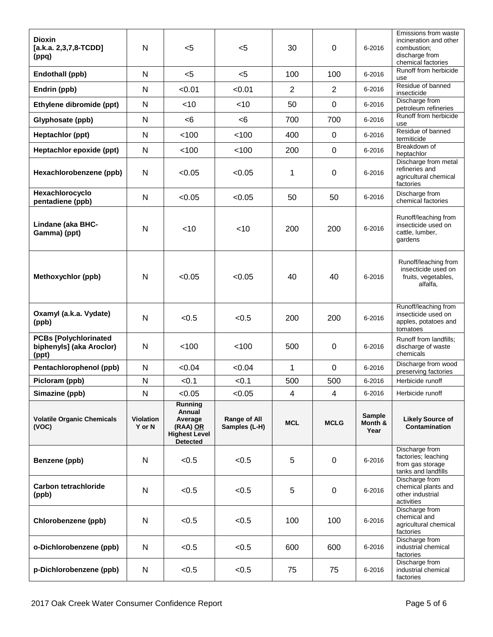| <b>Dioxin</b><br>$[a.k.a. 2,3,7,8-TCDD]$<br>(ppq)                 | N                          | $<$ 5                                                                               | $5$                           | 30             | 0              | 6-2016                           | Emissions from waste<br>incineration and other<br>combustion;<br>discharge from<br>chemical factories |
|-------------------------------------------------------------------|----------------------------|-------------------------------------------------------------------------------------|-------------------------------|----------------|----------------|----------------------------------|-------------------------------------------------------------------------------------------------------|
| Endothall (ppb)                                                   | N                          | $5$                                                                                 | $5$                           | 100            | 100            | 6-2016                           | Runoff from herbicide<br>use                                                                          |
| Endrin (ppb)                                                      | $\mathsf{N}$               | < 0.01                                                                              | < 0.01                        | $\overline{2}$ | $\overline{2}$ | 6-2016                           | Residue of banned<br>insecticide                                                                      |
| Ethylene dibromide (ppt)                                          | $\mathsf{N}$               | <10                                                                                 | $<$ 10                        | 50             | $\mathbf 0$    | 6-2016                           | Discharge from<br>petroleum refineries                                                                |
| Glyphosate (ppb)                                                  | N                          | <6                                                                                  | <6                            | 700            | 700            | 6-2016                           | Runoff from herbicide<br>use                                                                          |
| Heptachlor (ppt)                                                  | N                          | < 100                                                                               | < 100                         | 400            | 0              | 6-2016                           | Residue of banned<br>termiticide                                                                      |
| Heptachlor epoxide (ppt)                                          | N                          | < 100                                                                               | < 100                         | 200            | 0              | 6-2016                           | Breakdown of<br>heptachlor                                                                            |
| Hexachlorobenzene (ppb)                                           | $\mathsf{N}$               | < 0.05                                                                              | < 0.05                        | 1              | $\mathbf 0$    | 6-2016                           | Discharge from metal<br>refineries and<br>agricultural chemical<br>factories                          |
| Hexachlorocyclo<br>pentadiene (ppb)                               | N                          | < 0.05                                                                              | < 0.05                        | 50             | 50             | 6-2016                           | Discharge from<br>chemical factories                                                                  |
| Lindane (aka BHC-<br>Gamma) (ppt)                                 | N                          | $<$ 10                                                                              | $<$ 10                        | 200            | 200            | 6-2016                           | Runoff/leaching from<br>insecticide used on<br>cattle, lumber,<br>gardens                             |
| <b>Methoxychlor (ppb)</b>                                         | N                          | < 0.05                                                                              | < 0.05                        | 40             | 40             | 6-2016                           | Runoff/leaching from<br>insecticide used on<br>fruits, vegetables,<br>alfalfa,                        |
| Oxamyl (a.k.a. Vydate)<br>(ppb)                                   | N                          | < 0.5                                                                               | < 0.5                         | 200            | 200            | 6-2016                           | Runoff/leaching from<br>insecticide used on<br>apples, potatoes and<br>tomatoes                       |
| <b>PCBs [Polychlorinated</b><br>biphenyls] (aka Aroclor)<br>(ppt) | $\mathsf{N}$               | 100                                                                                 | 100                           | 500            | 0              | 6-2016                           | Runoff from landfills;<br>discharge of waste<br>chemicals                                             |
| Pentachlorophenol (ppb)                                           | N                          | < 0.04                                                                              | < 0.04                        | 1              | 0              | 6-2016                           | Discharge from wood<br>preserving factories                                                           |
| Picloram (ppb)                                                    | N                          | < 0.1                                                                               | < 0.1                         | 500            | 500            | 6-2016                           | Herbicide runoff                                                                                      |
| Simazine (ppb)                                                    | N                          | < 0.05                                                                              | < 0.05                        | 4              | 4              | 6-2016                           | Herbicide runoff                                                                                      |
| <b>Volatile Organic Chemicals</b><br>(VOC)                        | <b>Violation</b><br>Y or N | Running<br>Annual<br>Average<br>(RAA) OR<br><b>Highest Level</b><br><b>Detected</b> | Range of All<br>Samples (L-H) | <b>MCL</b>     | <b>MCLG</b>    | <b>Sample</b><br>Month &<br>Year | <b>Likely Source of</b><br>Contamination                                                              |
| Benzene (ppb)                                                     | N                          | < 0.5                                                                               | < 0.5                         | 5              | 0              | 6-2016                           | Discharge from<br>factories; leaching<br>from gas storage<br>tanks and landfills                      |
| <b>Carbon tetrachloride</b><br>(ppb)                              | N                          | < 0.5                                                                               | < 0.5                         | 5              | $\pmb{0}$      | 6-2016                           | Discharge from<br>chemical plants and<br>other industrial<br>activities                               |
| Chlorobenzene (ppb)                                               | $\mathsf{N}$               | < 0.5                                                                               | < 0.5                         | 100            | 100            | 6-2016                           | Discharge from<br>chemical and<br>agricultural chemical<br>factories                                  |
| o-Dichlorobenzene (ppb)                                           | N                          | < 0.5                                                                               | < 0.5                         | 600            | 600            | 6-2016                           | Discharge from<br>industrial chemical<br>factories                                                    |
| p-Dichlorobenzene (ppb)                                           | N                          | < 0.5                                                                               | < 0.5                         | 75             | 75             | 6-2016                           | Discharge from<br>industrial chemical<br>factories                                                    |